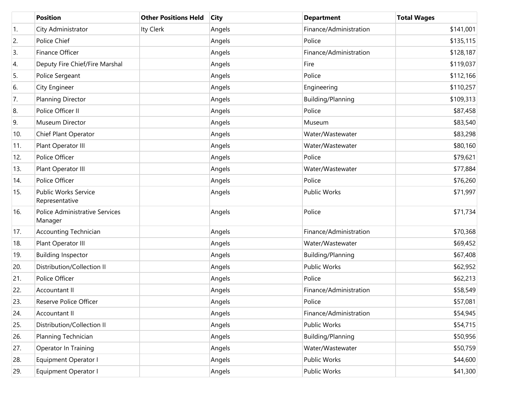|     | <b>Position</b>                                  | <b>Other Positions Held</b> | <b>City</b> | <b>Department</b>      | <b>Total Wages</b> |
|-----|--------------------------------------------------|-----------------------------|-------------|------------------------|--------------------|
| 1.  | City Administrator                               | Ity Clerk                   | Angels      | Finance/Administration | \$141,001          |
| 2.  | Police Chief                                     |                             | Angels      | Police                 | \$135,115          |
| 3.  | Finance Officer                                  |                             | Angels      | Finance/Administration | \$128,187          |
| 4.  | Deputy Fire Chief/Fire Marshal                   |                             | Angels      | Fire                   | \$119,037          |
| 5.  | Police Sergeant                                  |                             | Angels      | Police                 | \$112,166          |
| 6.  | City Engineer                                    |                             | Angels      | Engineering            | \$110,257          |
| 7.  | Planning Director                                |                             | Angels      | Building/Planning      | \$109,313          |
| 8.  | Police Officer II                                |                             | Angels      | Police                 | \$87,458           |
| 9.  | Museum Director                                  |                             | Angels      | Museum                 | \$83,540           |
| 10. | Chief Plant Operator                             |                             | Angels      | Water/Wastewater       | \$83,298           |
| 11. | Plant Operator III                               |                             | Angels      | Water/Wastewater       | \$80,160           |
| 12. | Police Officer                                   |                             | Angels      | Police                 | \$79,621           |
| 13. | Plant Operator III                               |                             | Angels      | Water/Wastewater       | \$77,884           |
| 14. | Police Officer                                   |                             | Angels      | Police                 | \$76,260           |
| 15. | <b>Public Works Service</b><br>Representative    |                             | Angels      | Public Works           | \$71,997           |
| 16. | <b>Police Administrative Services</b><br>Manager |                             | Angels      | Police                 | \$71,734           |
| 17. | <b>Accounting Technician</b>                     |                             | Angels      | Finance/Administration | \$70,368           |
| 18. | Plant Operator III                               |                             | Angels      | Water/Wastewater       | \$69,452           |
| 19. | <b>Building Inspector</b>                        |                             | Angels      | Building/Planning      | \$67,408           |
| 20. | Distribution/Collection II                       |                             | Angels      | <b>Public Works</b>    | \$62,952           |
| 21. | Police Officer                                   |                             | Angels      | Police                 | \$62,213           |
| 22. | Accountant II                                    |                             | Angels      | Finance/Administration | \$58,549           |
| 23. | Reserve Police Officer                           |                             | Angels      | Police                 | \$57,081           |
| 24. | Accountant II                                    |                             | Angels      | Finance/Administration | \$54,945           |
| 25. | Distribution/Collection II                       |                             | Angels      | Public Works           | \$54,715           |
| 26. | Planning Technician                              |                             | Angels      | Building/Planning      | \$50,956           |
| 27. | Operator In Training                             |                             | Angels      | Water/Wastewater       | \$50,759           |
| 28. | Equipment Operator I                             |                             | Angels      | Public Works           | \$44,600           |
| 29. | Equipment Operator I                             |                             | Angels      | Public Works           | \$41,300           |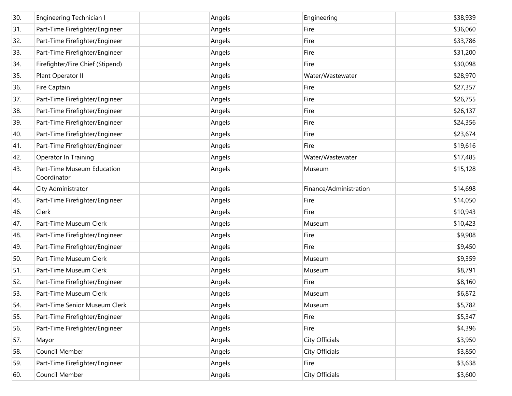| 30. | Engineering Technician I                  | Angels | Engineering            | \$38,939 |
|-----|-------------------------------------------|--------|------------------------|----------|
| 31. | Part-Time Firefighter/Engineer            | Angels | Fire                   | \$36,060 |
| 32. | Part-Time Firefighter/Engineer            | Angels | Fire                   | \$33,786 |
| 33. | Part-Time Firefighter/Engineer            | Angels | Fire                   | \$31,200 |
| 34. | Firefighter/Fire Chief (Stipend)          | Angels | Fire                   | \$30,098 |
| 35. | Plant Operator II                         | Angels | Water/Wastewater       | \$28,970 |
| 36. | Fire Captain                              | Angels | Fire                   | \$27,357 |
| 37. | Part-Time Firefighter/Engineer            | Angels | Fire                   | \$26,755 |
| 38. | Part-Time Firefighter/Engineer            | Angels | Fire                   | \$26,137 |
| 39. | Part-Time Firefighter/Engineer            | Angels | Fire                   | \$24,356 |
| 40. | Part-Time Firefighter/Engineer            | Angels | Fire                   | \$23,674 |
| 41. | Part-Time Firefighter/Engineer            | Angels | Fire                   | \$19,616 |
| 42. | Operator In Training                      | Angels | Water/Wastewater       | \$17,485 |
| 43. | Part-Time Museum Education<br>Coordinator | Angels | Museum                 | \$15,128 |
| 44. | City Administrator                        | Angels | Finance/Administration | \$14,698 |
| 45. | Part-Time Firefighter/Engineer            | Angels | Fire                   | \$14,050 |
| 46. | Clerk                                     | Angels | Fire                   | \$10,943 |
| 47. | Part-Time Museum Clerk                    | Angels | Museum                 | \$10,423 |
| 48. | Part-Time Firefighter/Engineer            | Angels | Fire                   | \$9,908  |
| 49. | Part-Time Firefighter/Engineer            | Angels | Fire                   | \$9,450  |
| 50. | Part-Time Museum Clerk                    | Angels | Museum                 | \$9,359  |
| 51. | Part-Time Museum Clerk                    | Angels | Museum                 | \$8,791  |
| 52. | Part-Time Firefighter/Engineer            | Angels | Fire                   | \$8,160  |
| 53. | Part-Time Museum Clerk                    | Angels | Museum                 | \$6,872  |
| 54. | Part-Time Senior Museum Clerk             | Angels | Museum                 | \$5,782  |
| 55. | Part-Time Firefighter/Engineer            | Angels | Fire                   | \$5,347  |
| 56. | Part-Time Firefighter/Engineer            | Angels | Fire                   | \$4,396  |
| 57. | Mayor                                     | Angels | City Officials         | \$3,950  |
| 58. | Council Member                            | Angels | City Officials         | \$3,850  |
| 59. | Part-Time Firefighter/Engineer            | Angels | Fire                   | \$3,638  |
| 60. | Council Member                            | Angels | City Officials         | \$3,600  |